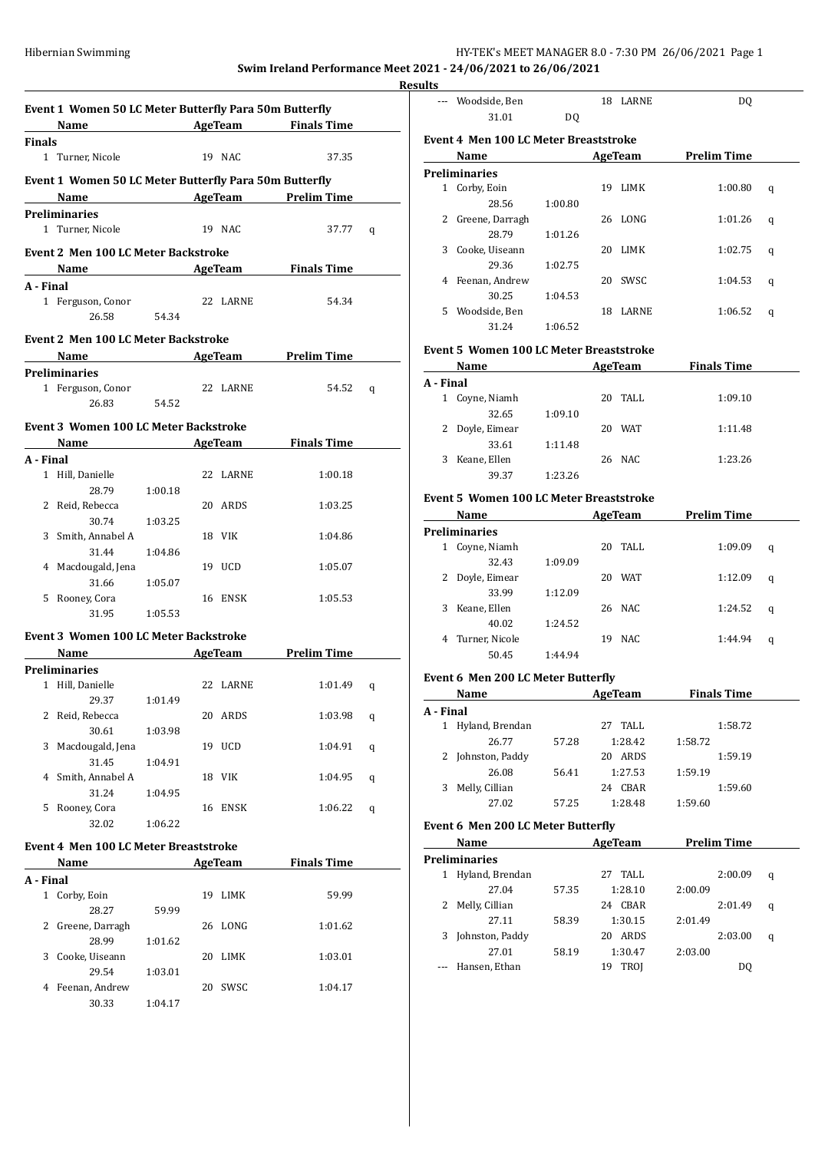#### Hibernian Swimming HY-TEK's MEET MANAGER 8.0 - 7:30 PM 26/06/2021 Page 1

**Swim Ireland Performance Meet 2021 - 24/06/2021 to 26/06/2021**

**Event 1 Women 50 LC Meter Butterfly Para 50m Butterfly Name AgeTeam Finals Time Finals** 1 Turner, Nicole 19 NAC 37.35 **Event 1 Women 50 LC Meter Butterfly Para 50m Butterfly Name AgeTeam Prelim Time Preliminaries** 1 Turner, Nicole 19 NAC 37.77 q **Event 2 Men 100 LC Meter Backstroke Name Age Team Finals Time A - Final** 1 Ferguson, Conor 22 LARNE 54.34 26.58 54.34 **Event 2 Men 100 LC Meter Backstroke Name AgeTeam Prelim Time Preliminaries** 1 Ferguson, Conor 22 LARNE 54.52 q 26.83 54.52 **Event 3 Women 100 LC Meter Backstroke Name AgeTeam Finals Time A - Final** 1 Hill, Danielle 22 LARNE 1:00.18 28.79 1:00.18 2 Reid, Rebecca 20 ARDS 1:03.25 30.74 1:03.25 3 Smith, Annabel A 18 VIK 1:04.86 31.44 1:04.86 4 Macdougald, Jena 19 UCD 1:05.07 31.66 1:05.07 5 Rooney, Cora 16 ENSK 1:05.53 31.95 1:05.53 **Event 3 Women 100 LC Meter Backstroke Name AgeTeam Prelim Time Preliminaries** 1 Hill, Danielle 22 LARNE 1:01.49 q 29.37 1:01.49 2 Reid, Rebecca 20 ARDS 1:03.98 q 30.61 1:03.98 3 Macdougald, Jena 19 UCD 1:04.91 q 31.45 1:04.91 4 Smith, Annabel A 18 VIK 1:04.95 q 31.24 1:04.95 5 Rooney, Cora 16 ENSK 1:06.22 q 32.02 1:06.22 **Event 4 Men 100 LC Meter Breaststroke Name AgeTeam Finals Time A - Final** 1 Corby, Eoin 19 LIMK 59.99 28.27 59.99 2 Greene, Darragh 26 LONG 1:01.62 28.99 1:01.62 3 Cooke, Uiseann 20 LIMK 1:03.01 29.54 1:03.01

4 Feenan, Andrew 20 SWSC 1:04.17

30.33 1:04.17

| <b>Results</b> |                                       |         |    |          |                    |   |
|----------------|---------------------------------------|---------|----|----------|--------------------|---|
|                | --- Woodside, Ben                     |         |    | 18 LARNE | DQ                 |   |
|                | 31.01                                 | DQ      |    |          |                    |   |
|                | Event 4 Men 100 LC Meter Breaststroke |         |    |          |                    |   |
|                | Name                                  |         |    | AgeTeam  | <b>Prelim Time</b> |   |
|                | <b>Preliminaries</b>                  |         |    |          |                    |   |
| 1              | Corby, Eoin                           |         | 19 | LIMK     | 1:00.80            | q |
|                | 28.56                                 | 1:00.80 |    |          |                    |   |
| 2              | Greene, Darragh                       |         |    | 26 LONG  | 1:01.26            | q |
|                | 28.79                                 | 1:01.26 |    |          |                    |   |
| 3              | Cooke, Uiseann                        |         | 20 | LIMK     | 1:02.75            | q |
|                | 29.36                                 | 1:02.75 |    |          |                    |   |
| 4              | Feenan, Andrew                        |         | 20 | SWSC     | 1:04.53            | q |
|                | 30.25                                 | 1:04.53 |    |          |                    |   |
| 5.             | Woodside, Ben                         |         | 18 | LARNE    | 1:06.52            | q |
|                | 31.24                                 | 1:06.52 |    |          |                    |   |

### **Event 5 Women 100 LC Meter Breaststroke**

|           | Name            |         | AgeTeam          | <b>Finals Time</b> |  |
|-----------|-----------------|---------|------------------|--------------------|--|
| A - Final |                 |         |                  |                    |  |
| 1         | Coyne, Niamh    |         | 20 TALL          | 1:09.10            |  |
|           | 32.65           | 1:09.10 |                  |                    |  |
|           | 2 Doyle, Eimear |         | <b>WAT</b><br>20 | 1:11.48            |  |
|           | 33.61           | 1:11.48 |                  |                    |  |
| 3         | Keane, Ellen    |         | 26 NAC           | 1:23.26            |  |
|           | 39.37           | 1:23.26 |                  |                    |  |

#### **Event 5 Women 100 LC Meter Breaststroke**

|   | Name           |         | AgeTeam |            | <b>Prelim Time</b> |   |  |
|---|----------------|---------|---------|------------|--------------------|---|--|
|   | Preliminaries  |         |         |            |                    |   |  |
| 1 | Coyne, Niamh   |         | 20      | TALL.      | 1:09.09            | q |  |
|   | 32.43          | 1:09.09 |         |            |                    |   |  |
|   | Doyle, Eimear  |         | 20      | <b>WAT</b> | 1:12.09            | q |  |
|   | 33.99          | 1:12.09 |         |            |                    |   |  |
| 3 | Keane, Ellen   |         |         | 26 NAC     | 1:24.52            | q |  |
|   | 40.02          | 1:24.52 |         |            |                    |   |  |
| 4 | Turner, Nicole |         | 19      | NAC        | 1:44.94            | q |  |
|   | 50.45          | 1:44.94 |         |            |                    |   |  |

#### **Event 6 Men 200 LC Meter Butterfly**

|           | Name            |       | AgeTeam    | <b>Finals Time</b> |  |
|-----------|-----------------|-------|------------|--------------------|--|
| A - Final |                 |       |            |                    |  |
|           | Hyland, Brendan |       | TALL<br>27 | 1:58.72            |  |
|           | 26.77           | 57.28 | 1:28.42    | 1:58.72            |  |
|           | Johnston, Paddy |       | ARDS<br>20 | 1:59.19            |  |
|           | 26.08           | 56.41 | 1:27.53    | 1:59.19            |  |
| 3         | Melly, Cillian  |       | CBAR<br>24 | 1:59.60            |  |
|           | 27.02           | 57.25 | 1:28.48    | 1:59.60            |  |

#### **Event 6 Men 200 LC Meter Butterfly**

|   | Name                 |       | AgeTeam     | Prelim Time |   |
|---|----------------------|-------|-------------|-------------|---|
|   | <b>Preliminaries</b> |       |             |             |   |
| 1 | Hyland, Brendan      |       | TALL.<br>27 | 2:00.09     | q |
|   | 27.04                | 57.35 | 1:28.10     | 2:00.09     |   |
| 2 | Melly, Cillian       |       | CBAR<br>24  | 2:01.49     | q |
|   | 27.11                | 58.39 | 1:30.15     | 2:01.49     |   |
| 3 | Johnston, Paddy      |       | ARDS<br>20  | 2:03.00     | q |
|   | 27.01                | 58.19 | 1:30.47     | 2:03.00     |   |
|   | Hansen, Ethan        |       | TROI<br>19  | D0          |   |
|   |                      |       |             |             |   |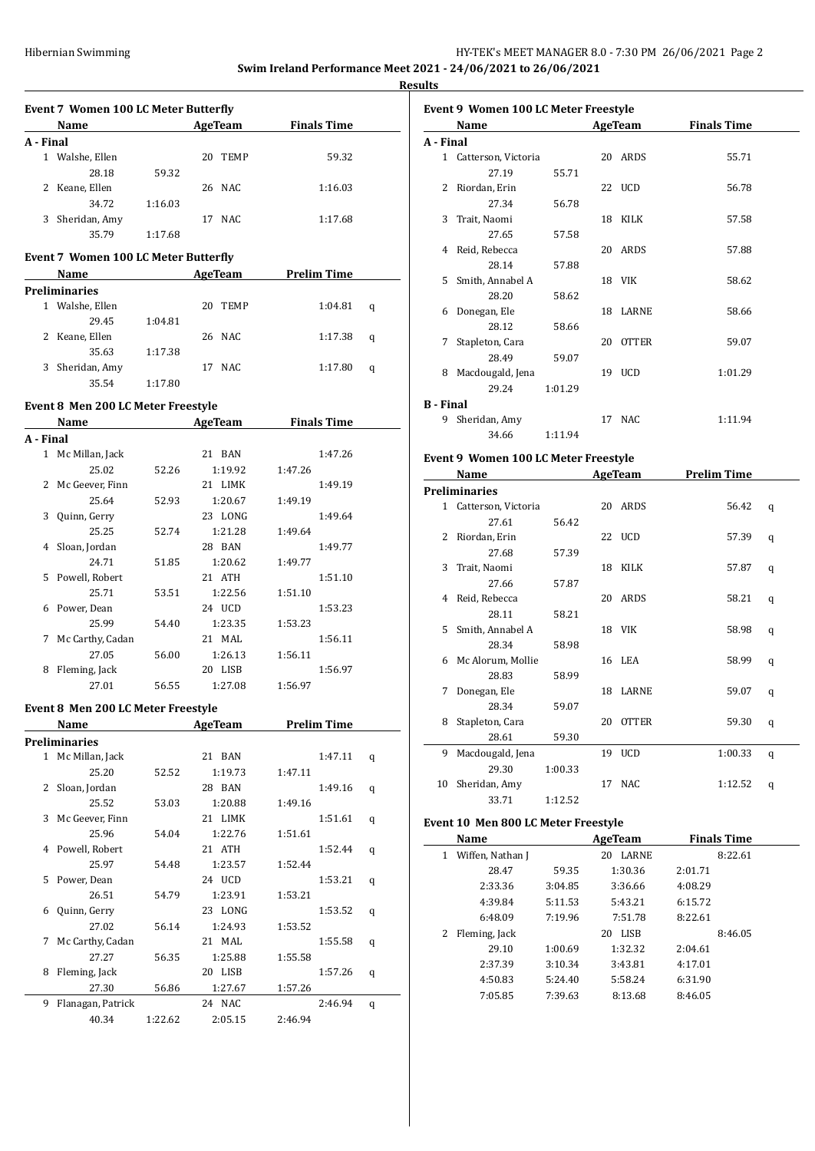**Results**

|           | <b>Event 7 Women 100 LC Meter Butterfly</b><br>Name                                                                                                                                                                           |         | AgeTeam            | <b>Finals Time</b> |   |
|-----------|-------------------------------------------------------------------------------------------------------------------------------------------------------------------------------------------------------------------------------|---------|--------------------|--------------------|---|
| A - Final |                                                                                                                                                                                                                               |         |                    |                    |   |
|           | 1 Walshe, Ellen                                                                                                                                                                                                               |         | 20 TEMP            | 59.32              |   |
|           | 28.18                                                                                                                                                                                                                         | 59.32   |                    |                    |   |
|           | 2 Keane, Ellen                                                                                                                                                                                                                |         | 26 NAC             | 1:16.03            |   |
|           | 34.72                                                                                                                                                                                                                         | 1:16.03 |                    |                    |   |
|           | 3 Sheridan, Amy                                                                                                                                                                                                               |         | 17 NAC             | 1:17.68            |   |
|           | 35.79                                                                                                                                                                                                                         | 1:17.68 |                    |                    |   |
|           | Event 7 Women 100 LC Meter Butterfly                                                                                                                                                                                          |         |                    |                    |   |
|           | Name                                                                                                                                                                                                                          |         | AgeTeam            | <b>Prelim Time</b> |   |
|           | <b>Preliminaries</b>                                                                                                                                                                                                          |         |                    |                    |   |
|           | 1 Walshe, Ellen                                                                                                                                                                                                               |         | 20 TEMP            | 1:04.81            | q |
|           | 29.45                                                                                                                                                                                                                         | 1:04.81 |                    |                    |   |
|           | 2 Keane, Ellen                                                                                                                                                                                                                |         | 26 NAC             | 1:17.38            | q |
|           | 35.63                                                                                                                                                                                                                         | 1:17.38 |                    |                    |   |
|           | 3 Sheridan, Amy                                                                                                                                                                                                               |         | 17 NAC             | 1:17.80            | q |
|           | 35.54                                                                                                                                                                                                                         | 1:17.80 |                    |                    |   |
|           |                                                                                                                                                                                                                               |         |                    |                    |   |
|           | Event 8 Men 200 LC Meter Freestyle                                                                                                                                                                                            |         |                    |                    |   |
|           | Name and the same of the same of the same of the same of the same of the same of the same of the same of the same of the same of the same of the same of the same of the same of the same of the same of the same of the same |         | AgeTeam            | <b>Finals Time</b> |   |
| A - Final |                                                                                                                                                                                                                               |         |                    |                    |   |
|           | 1 Mc Millan, Jack                                                                                                                                                                                                             |         | 21 BAN             | 1:47.26            |   |
|           | 25.02                                                                                                                                                                                                                         | 52.26   | 1:19.92            | 1:47.26            |   |
|           | 2 Mc Geever, Finn                                                                                                                                                                                                             |         | 21 LIMK            | 1:49.19            |   |
|           | 25.64                                                                                                                                                                                                                         | 52.93   | 1:20.67            | 1:49.19            |   |
|           | 3 Quinn, Gerry                                                                                                                                                                                                                |         | 23 LONG            | 1:49.64            |   |
|           | 25.25                                                                                                                                                                                                                         | 52.74   | 1:21.28            | 1:49.64            |   |
| 4         | Sloan, Jordan                                                                                                                                                                                                                 |         | 28 BAN             | 1:49.77            |   |
|           | 24.71                                                                                                                                                                                                                         | 51.85   | 1:20.62            | 1:49.77            |   |
| 5         | Powell, Robert                                                                                                                                                                                                                |         | 21 ATH             | 1:51.10            |   |
|           | 25.71                                                                                                                                                                                                                         | 53.51   | 1:22.56            | 1:51.10            |   |
| 6         | Power, Dean                                                                                                                                                                                                                   |         | 24 UCD             | 1:53.23            |   |
|           | 25.99                                                                                                                                                                                                                         | 54.40   | 1:23.35            | 1:53.23            |   |
| 7         | Mc Carthy, Cadan                                                                                                                                                                                                              |         | 21 MAL             | 1:56.11            |   |
| 8         | 27.05                                                                                                                                                                                                                         | 56.00   | 1:26.13<br>20 LISB | 1:56.11<br>1:56.97 |   |
|           | Fleming, Jack<br>27.01                                                                                                                                                                                                        | 56.55   | 1:27.08            | 1:56.97            |   |
|           |                                                                                                                                                                                                                               |         |                    |                    |   |
|           | Event 8 Men 200 LC Meter Freestyle                                                                                                                                                                                            |         |                    |                    |   |
|           | Name                                                                                                                                                                                                                          |         | AgeTeam            | <b>Prelim Time</b> |   |
|           | <b>Preliminaries</b>                                                                                                                                                                                                          |         |                    |                    |   |
|           | 1 Mc Millan, Jack                                                                                                                                                                                                             |         | 21 BAN             | 1:47.11            | q |
|           | 25.20                                                                                                                                                                                                                         | 52.52   | 1:19.73            | 1:47.11            |   |
| 2         | Sloan, Jordan                                                                                                                                                                                                                 |         | 28 BAN             | 1:49.16            | q |
|           | 25.52                                                                                                                                                                                                                         | 53.03   | 1:20.88            | 1:49.16            |   |
| 3         | Mc Geever, Finn                                                                                                                                                                                                               |         | 21 LIMK            | 1:51.61            | q |
|           | 25.96                                                                                                                                                                                                                         | 54.04   | 1:22.76            | 1:51.61            |   |
| 4         | Powell, Robert                                                                                                                                                                                                                |         | 21 ATH             | 1:52.44            | q |
|           | 25.97                                                                                                                                                                                                                         | 54.48   | 1:23.57            | 1:52.44            |   |
| 5         | Power, Dean                                                                                                                                                                                                                   |         | 24 UCD             | 1:53.21            | q |
|           | 26.51                                                                                                                                                                                                                         | 54.79   | 1:23.91            | 1:53.21            |   |
| 6         | Quinn, Gerry                                                                                                                                                                                                                  |         | 23 LONG            | 1:53.52            | q |
|           | 27.02                                                                                                                                                                                                                         | 56.14   | 1:24.93            | 1:53.52            |   |
| 7         | Mc Carthy, Cadan                                                                                                                                                                                                              |         | 21 MAL             | 1:55.58            | q |
|           | 27.27                                                                                                                                                                                                                         | 56.35   | 1:25.88            | 1:55.58            |   |
| 8         | Fleming, Jack                                                                                                                                                                                                                 |         | 20 LISB            | 1:57.26            | q |
|           | 27.30                                                                                                                                                                                                                         | 56.86   | 1:27.67            | 1:57.26            |   |
| 9         | Flanagan, Patrick                                                                                                                                                                                                             |         | 24 NAC             | 2:46.94            | q |
|           | 40.34                                                                                                                                                                                                                         | 1:22.62 | 2:05.15            | 2:46.94            |   |

|                  | Event 9 Women 100 LC Meter Freestyle |         |    |              |                    |  |  |  |
|------------------|--------------------------------------|---------|----|--------------|--------------------|--|--|--|
|                  | Name                                 |         |    | AgeTeam      | <b>Finals Time</b> |  |  |  |
| A - Final        |                                      |         |    |              |                    |  |  |  |
|                  | 1 Catterson, Victoria                |         |    | 20 ARDS      | 55.71              |  |  |  |
|                  | 27.19                                | 55.71   |    |              |                    |  |  |  |
| 2                | Riordan, Erin                        |         |    | 22 UCD       | 56.78              |  |  |  |
|                  | 27.34                                | 56.78   |    |              |                    |  |  |  |
| 3                | Trait, Naomi                         |         |    | 18 KILK      | 57.58              |  |  |  |
|                  | 27.65                                | 57.58   |    |              |                    |  |  |  |
| 4                | Reid, Rebecca                        |         | 20 | ARDS         | 57.88              |  |  |  |
|                  | 28.14                                | 57.88   |    |              |                    |  |  |  |
| 5.               | Smith, Annabel A                     |         |    | 18 VIK       | 58.62              |  |  |  |
|                  | 28.20                                | 58.62   |    |              |                    |  |  |  |
| 6                | Donegan, Ele                         |         |    | 18 LARNE     | 58.66              |  |  |  |
|                  | 28.12                                | 58.66   |    |              |                    |  |  |  |
| 7                | Stapleton, Cara                      |         | 20 | <b>OTTER</b> | 59.07              |  |  |  |
|                  | 28.49                                | 59.07   |    |              |                    |  |  |  |
| 8                | Macdougald, Jena                     |         |    | 19 UCD       | 1:01.29            |  |  |  |
|                  | 29.24                                | 1:01.29 |    |              |                    |  |  |  |
| <b>B</b> - Final |                                      |         |    |              |                    |  |  |  |
| 9                | Sheridan, Amy                        |         |    | 17 NAC       | 1:11.94            |  |  |  |
|                  | 34.66                                | 1:11.94 |    |              |                    |  |  |  |
|                  |                                      |         |    |              |                    |  |  |  |

## **Event 9 Women 100 LC Meter Freestyle**

|              | Name                |         |    | <b>AgeTeam</b> | <b>Prelim Time</b> |   |  |
|--------------|---------------------|---------|----|----------------|--------------------|---|--|
|              | Preliminaries       |         |    |                |                    |   |  |
| $\mathbf{1}$ | Catterson, Victoria |         |    | 20 ARDS        | 56.42              | q |  |
|              | 27.61               | 56.42   |    |                |                    |   |  |
| 2            | Riordan, Erin       |         |    | 22 UCD         | 57.39              | q |  |
|              | 27.68               | 57.39   |    |                |                    |   |  |
| 3            | Trait, Naomi        |         |    | 18 KILK        | 57.87              | q |  |
|              | 27.66               | 57.87   |    |                |                    |   |  |
| 4            | Reid, Rebecca       |         |    | 20 ARDS        | 58.21              | q |  |
|              | 28.11               | 58.21   |    |                |                    |   |  |
| 5.           | Smith, Annabel A    |         |    | 18 VIK         | 58.98              | q |  |
|              | 28.34               | 58.98   |    |                |                    |   |  |
| 6            | Mc Alorum, Mollie   |         |    | 16 LEA         | 58.99              | q |  |
|              | 28.83               | 58.99   |    |                |                    |   |  |
| 7            | Donegan, Ele        |         |    | 18 LARNE       | 59.07              | q |  |
|              | 28.34               | 59.07   |    |                |                    |   |  |
| 8            | Stapleton, Cara     |         | 20 | <b>OTTER</b>   | 59.30              | q |  |
|              | 28.61               | 59.30   |    |                |                    |   |  |
| 9            | Macdougald, Jena    |         |    | 19 UCD         | 1:00.33            | q |  |
|              | 29.30               | 1:00.33 |    |                |                    |   |  |
| 10           | Sheridan, Amy       |         |    | 17 NAC         | 1:12.52            | q |  |
|              | 33.71               | 1:12.52 |    |                |                    |   |  |

## **Event 10 Men 800 LC Meter Freestyle**

| Name                  |         | AgeTeam            | <b>Finals Time</b> |  |
|-----------------------|---------|--------------------|--------------------|--|
| Wiffen, Nathan J<br>1 |         | <b>LARNE</b><br>20 | 8:22.61            |  |
| 28.47                 | 59.35   | 1:30.36            | 2:01.71            |  |
| 2:33.36               | 3:04.85 | 3:36.66            | 4:08.29            |  |
| 4:39.84               | 5:11.53 | 5:43.21            | 6:15.72            |  |
| 6:48.09               | 7:19.96 | 7:51.78            | 8:22.61            |  |
| Fleming, Jack         |         | LISB<br>20         | 8:46.05            |  |
| 29.10                 | 1:00.69 | 1:32.32            | 2:04.61            |  |
| 2:37.39               | 3:10.34 | 3:43.81            | 4:17.01            |  |
| 4:50.83               | 5:24.40 | 5:58.24            | 6:31.90            |  |
| 7:05.85               | 7:39.63 | 8:13.68            | 8:46.05            |  |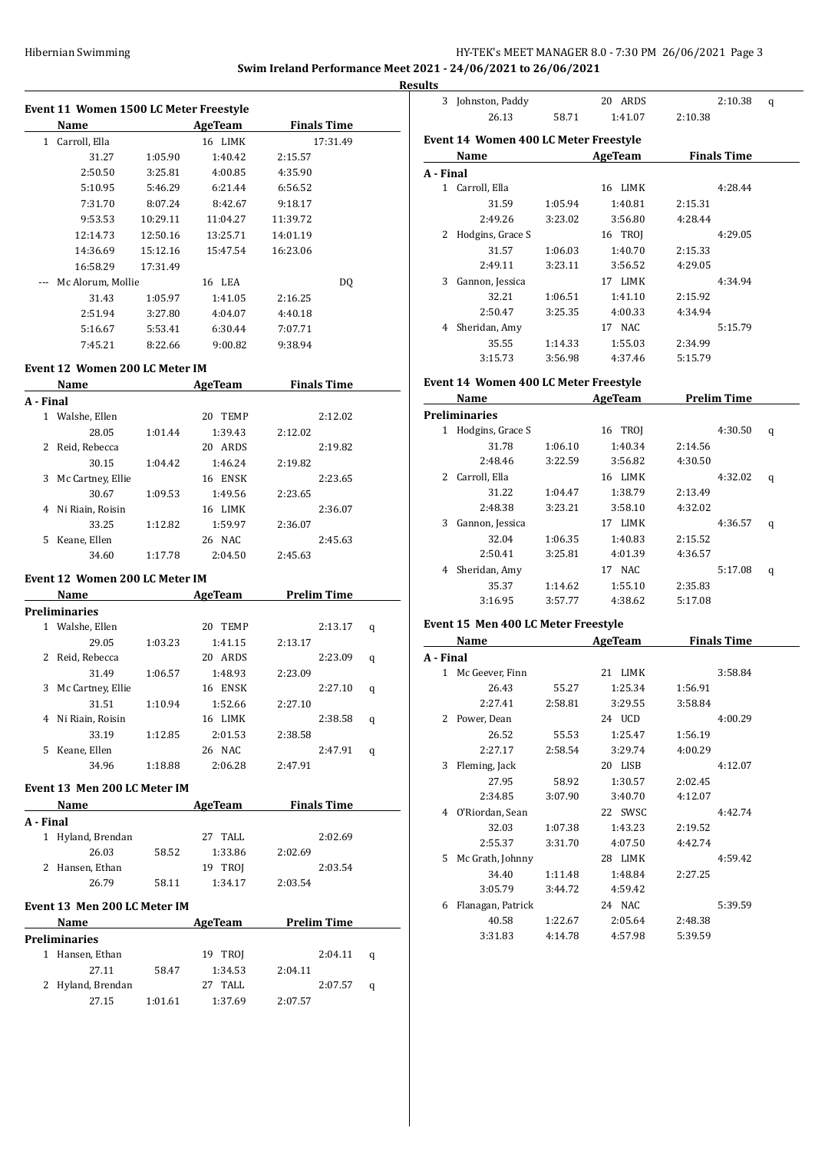# HY-TEK's MEET MANAGER 8.0 - 7:30 PM 26/06/2021 Page 3

**Swim Ireland Performance Meet 2021 - 24/06/2021 to 26/06/2021**

|           | Event 11 Women 1500 LC Meter Freestyle                                                                                                                                                                                        |          |                     |                    |                    |   |
|-----------|-------------------------------------------------------------------------------------------------------------------------------------------------------------------------------------------------------------------------------|----------|---------------------|--------------------|--------------------|---|
|           | Name and the same state of the state of the state of the state of the state of the state of the state of the state of the state of the state of the state of the state of the state of the state of the state of the state of |          | AgeTeam             | <b>Finals Time</b> |                    |   |
|           | 1 Carroll, Ella                                                                                                                                                                                                               |          | 16 LIMK             |                    | 17:31.49           |   |
|           | 31.27                                                                                                                                                                                                                         | 1:05.90  | 1:40.42             | 2:15.57            |                    |   |
|           | 2:50.50                                                                                                                                                                                                                       | 3:25.81  | 4:00.85             | 4:35.90            |                    |   |
|           | 5:10.95                                                                                                                                                                                                                       | 5:46.29  | 6:21.44             | 6:56.52            |                    |   |
|           | 7:31.70                                                                                                                                                                                                                       | 8:07.24  | 8:42.67             | 9:18.17            |                    |   |
|           | 9:53.53                                                                                                                                                                                                                       | 10:29.11 | 11:04.27            | 11:39.72           |                    |   |
|           | 12:14.73                                                                                                                                                                                                                      | 12:50.16 | 13:25.71            | 14:01.19           |                    |   |
|           | 14:36.69                                                                                                                                                                                                                      | 15:12.16 | 15:47.54            | 16:23.06           |                    |   |
|           | 16:58.29                                                                                                                                                                                                                      | 17:31.49 |                     |                    |                    |   |
|           | Mc Alorum, Mollie                                                                                                                                                                                                             |          | 16 LEA              |                    | DQ                 |   |
|           | 31.43                                                                                                                                                                                                                         | 1:05.97  | 1:41.05             | 2:16.25            |                    |   |
|           | 2:51.94                                                                                                                                                                                                                       | 3:27.80  | 4:04.07             | 4:40.18            |                    |   |
|           | 5:16.67                                                                                                                                                                                                                       | 5:53.41  | 6:30.44             | 7:07.71            |                    |   |
|           | 7:45.21                                                                                                                                                                                                                       | 8:22.66  | 9:00.82             | 9:38.94            |                    |   |
|           | Event 12 Women 200 LC Meter IM                                                                                                                                                                                                |          |                     |                    |                    |   |
|           |                                                                                                                                                                                                                               |          |                     |                    |                    |   |
|           | Name AgeTeam                                                                                                                                                                                                                  |          |                     | <b>Finals Time</b> |                    |   |
| A - Final |                                                                                                                                                                                                                               |          |                     |                    |                    |   |
|           | 1 Walshe, Ellen                                                                                                                                                                                                               |          | 20 TEMP             |                    | 2:12.02            |   |
|           | 28.05                                                                                                                                                                                                                         | 1:01.44  | 1:39.43             | 2:12.02            |                    |   |
|           | 2 Reid, Rebecca                                                                                                                                                                                                               |          | 20 ARDS             |                    | 2:19.82            |   |
|           | 30.15                                                                                                                                                                                                                         | 1:04.42  | 1:46.24             | 2:19.82            |                    |   |
|           | 3 Mc Cartney, Ellie                                                                                                                                                                                                           |          | 16 ENSK             |                    | 2:23.65            |   |
|           | 30.67                                                                                                                                                                                                                         | 1:09.53  | 1:49.56             | 2:23.65            |                    |   |
|           | 4 Ni Riain, Roisin                                                                                                                                                                                                            |          | 16 LIMK             |                    | 2:36.07            |   |
|           | 33.25                                                                                                                                                                                                                         | 1:12.82  | 1:59.97             | 2:36.07            | 2:45.63            |   |
|           | 5 Keane, Ellen<br>34.60                                                                                                                                                                                                       | 1:17.78  | 26 NAC<br>2:04.50   | 2:45.63            |                    |   |
|           |                                                                                                                                                                                                                               |          |                     |                    |                    |   |
|           | Event 12 Women 200 LC Meter IM                                                                                                                                                                                                |          |                     |                    |                    |   |
|           | Name                                                                                                                                                                                                                          |          | AgeTeam Prelim Time |                    |                    |   |
|           | <b>Preliminaries</b>                                                                                                                                                                                                          |          |                     |                    |                    |   |
|           | 1 Walshe, Ellen                                                                                                                                                                                                               |          | 20 TEMP             |                    | 2:13.17            | q |
|           | 29.05                                                                                                                                                                                                                         | 1:03.23  | 1:41.15             | 2:13.17            |                    |   |
|           | 2 Reid, Rebecca                                                                                                                                                                                                               |          | 20 ARDS             |                    | 2:23.09            | q |
|           | 31.49                                                                                                                                                                                                                         | 1:06.57  | 1:48.93             | 2:23.09            |                    |   |
|           | 3 Mc Cartney, Ellie                                                                                                                                                                                                           |          | 16 ENSK             |                    | 2:27.10            | q |
|           | 31.51                                                                                                                                                                                                                         | 1:10.94  | 1:52.66             | 2:27.10            |                    |   |
|           | 4 Ni Riain, Roisin                                                                                                                                                                                                            |          | 16 LIMK             |                    | 2:38.58            | q |
|           | 33.19                                                                                                                                                                                                                         | 1:12.85  | 2:01.53             | 2:38.58            |                    |   |
|           | 5 Keane, Ellen                                                                                                                                                                                                                |          | 26 NAC              |                    | 2:47.91            | q |
|           | 34.96                                                                                                                                                                                                                         | 1:18.88  | 2:06.28             | 2:47.91            |                    |   |
|           | Event 13 Men 200 LC Meter IM                                                                                                                                                                                                  |          |                     |                    |                    |   |
|           | Name                                                                                                                                                                                                                          |          | AgeTeam             |                    | <b>Finals Time</b> |   |
| A - Final |                                                                                                                                                                                                                               |          |                     |                    |                    |   |
|           | 1 Hyland, Brendan                                                                                                                                                                                                             |          | 27 TALL             |                    | 2:02.69            |   |
|           | 26.03                                                                                                                                                                                                                         | 58.52    | 1:33.86             | 2:02.69            |                    |   |
|           | 2 Hansen, Ethan                                                                                                                                                                                                               |          | 19 TROJ             |                    | 2:03.54            |   |
|           | 26.79                                                                                                                                                                                                                         | 58.11    | 1:34.17             | 2:03.54            |                    |   |
|           |                                                                                                                                                                                                                               |          |                     |                    |                    |   |
|           | Event 13 Men 200 LC Meter IM                                                                                                                                                                                                  |          |                     |                    |                    |   |
|           | Name                                                                                                                                                                                                                          |          | AgeTeam Prelim Time |                    |                    |   |
|           | Preliminaries                                                                                                                                                                                                                 |          |                     |                    |                    |   |
|           | 1 Hansen, Ethan                                                                                                                                                                                                               |          | 19 TROJ             |                    | 2:04.11            | q |
|           | 27.11                                                                                                                                                                                                                         | 58.47    | 1:34.53             | 2:04.11            |                    |   |
|           | 2 Hyland, Brendan                                                                                                                                                                                                             |          | 27 TALL             |                    | 2:07.57            | q |
|           | 27.15                                                                                                                                                                                                                         | 1:01.61  | 1:37.69             | 2:07.57            |                    |   |

| <b>Results</b> |                                       |         |                           |                    |         |   |
|----------------|---------------------------------------|---------|---------------------------|--------------------|---------|---|
|                | 3 Johnston, Paddy                     |         | 20 ARDS                   |                    | 2:10.38 | q |
|                | 26.13                                 | 58.71   | 1:41.07                   | 2:10.38            |         |   |
|                | Event 14 Women 400 LC Meter Freestyle |         |                           |                    |         |   |
|                | Name AgeTeam                          |         |                           | <b>Finals Time</b> |         |   |
| A - Final      |                                       |         |                           |                    |         |   |
|                | 1 Carroll, Ella                       |         | 16 LIMK                   |                    | 4:28.44 |   |
|                | 31.59                                 | 1:05.94 | 1:40.81                   | 2:15.31            |         |   |
|                | 2:49.26                               | 3:23.02 | 3:56.80                   | 4:28.44            |         |   |
|                | 2 Hodgins, Grace S                    |         | 16 TROJ                   |                    | 4:29.05 |   |
|                | 31.57                                 | 1:06.03 | 1:40.70                   | 2:15.33            |         |   |
|                | 2:49.11                               | 3:23.11 | 3:56.52                   | 4:29.05            |         |   |
|                | 3 Gannon, Jessica                     |         | 17 LIMK                   |                    | 4:34.94 |   |
|                | 32.21                                 | 1:06.51 | 1:41.10                   | 2:15.92            |         |   |
|                | 2:50.47                               | 3:25.35 | 4:00.33                   | 4:34.94            |         |   |
|                | 4 Sheridan, Amy                       |         | 17 NAC                    |                    | 5:15.79 |   |
|                | 35.55                                 | 1:14.33 | 1:55.03                   | 2:34.99            |         |   |
|                | 3:15.73                               | 3:56.98 | 4:37.46                   | 5:15.79            |         |   |
|                | Event 14 Women 400 LC Meter Freestyle |         |                           |                    |         |   |
|                | Name                                  |         | <b>AgeTeam</b>            | <b>Prelim Time</b> |         |   |
|                | <b>Preliminaries</b>                  |         |                           |                    |         |   |
|                | 1 Hodgins, Grace S                    |         | 16 TROJ                   |                    | 4:30.50 | q |
|                | 31.78                                 | 1:06.10 | 1:40.34                   | 2:14.56            |         |   |
|                | 2:48.46                               | 3:22.59 | 3:56.82                   | 4:30.50            |         |   |
|                | 2 Carroll, Ella                       |         | 16 LIMK                   |                    | 4:32.02 | q |
|                | 31.22                                 | 1:04.47 | 1:38.79                   | 2:13.49            |         |   |
|                | 2:48.38                               | 3:23.21 | 3:58.10                   | 4:32.02            |         |   |
|                | 3 Gannon, Jessica                     |         | 17 LIMK                   |                    | 4:36.57 | q |
|                | 32.04                                 | 1:06.35 | 1:40.83                   | 2:15.52            |         |   |
|                | 2:50.41                               | 3:25.81 | 4:01.39                   | 4:36.57            |         |   |
|                | 4 Sheridan, Amy                       |         | 17 NAC                    |                    | 5:17.08 | q |
|                | 35.37                                 | 1:14.62 | 1:55.10                   | 2:35.83            |         |   |
|                | 3:16.95                               | 3:57.77 | 4:38.62                   | 5:17.08            |         |   |
|                | Event 15 Men 400 LC Meter Freestyle   |         |                           |                    |         |   |
|                | Name                                  |         | <b>Example 21 AgeTeam</b> | <b>Finals Time</b> |         |   |
| A - Final      |                                       |         |                           |                    |         |   |
|                | 1 Mc Geever, Finn                     |         | 21 LIMK                   |                    | 3:58.84 |   |
|                | 26.43                                 | 55.27   | 1:25.34                   | 1:56.91            |         |   |
|                | 2:27.41                               | 2:58.81 | 3:29.55                   | 3:58.84            |         |   |
|                | 2 Power, Dean                         |         | 24 UCD                    |                    | 4:00.29 |   |
|                |                                       | 55.53   | 1:25.47                   |                    |         |   |
|                | 26.52                                 |         |                           | 1:56.19            |         |   |
|                | 2:27.17                               | 2:58.54 | 3:29.74                   | 4:00.29            |         |   |
| 3              | Fleming, Jack                         |         | 20 LISB                   |                    | 4:12.07 |   |
|                | 27.95                                 | 58.92   | 1:30.57                   | 2:02.45            |         |   |
|                | 2:34.85                               | 3:07.90 | 3:40.70                   | 4:12.07            |         |   |
|                | 4 O'Riordan, Sean                     |         | 22 SWSC                   |                    | 4:42.74 |   |
|                | 32.03                                 | 1:07.38 | 1:43.23                   | 2:19.52            |         |   |
|                | 2:55.37                               | 3:31.70 | 4:07.50                   | 4:42.74            |         |   |

5 Mc Grath, Johnny 28 LIMK 4:59.42 34.40 1:11.48 1:48.84 2:27.25

6 Flanagan, Patrick 24 NAC 5:39.59 40.58 1:22.67 2:05.64 2:48.38 3:31.83 4:14.78 4:57.98 5:39.59

3:05.79 3:44.72 4:59.42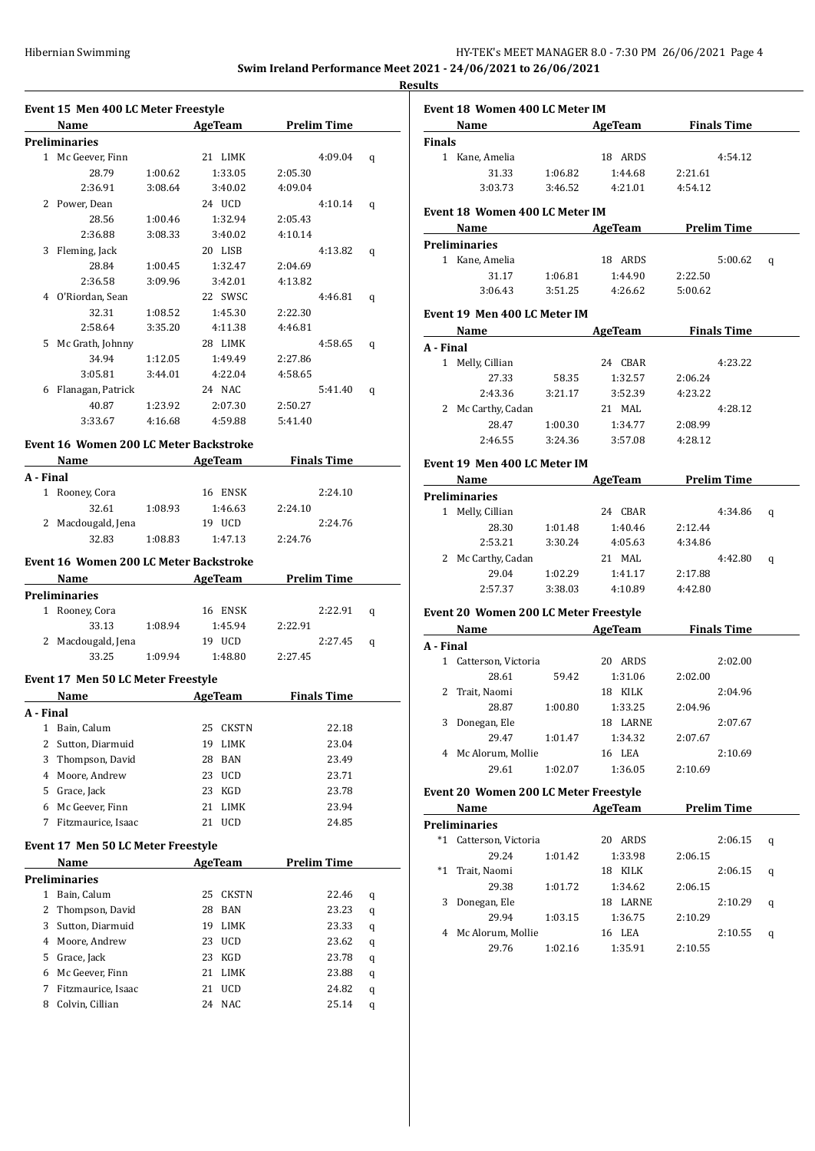|                                                               | HY-TEK's MEET MANAGER 8.0 - 7:30 PM 26/06/2021 Page 4 |  |
|---------------------------------------------------------------|-------------------------------------------------------|--|
| Swim Ireland Performance Meet 2021 - 24/06/2021 to 26/06/2021 |                                                       |  |

**Results**

|              | Event 15 Men 400 LC Meter Freestyle                                                                                                                                                                                           |         |                  |                    |   |
|--------------|-------------------------------------------------------------------------------------------------------------------------------------------------------------------------------------------------------------------------------|---------|------------------|--------------------|---|
|              | Name                                                                                                                                                                                                                          |         | AgeTeam          | <b>Prelim Time</b> |   |
|              | Preliminaries                                                                                                                                                                                                                 |         |                  |                    |   |
|              | 1 Mc Geever, Finn                                                                                                                                                                                                             |         | 21 LIMK          | 4:09.04            | q |
|              | 28.79                                                                                                                                                                                                                         | 1:00.62 | 1:33.05          | 2:05.30            |   |
|              | 2:36.91                                                                                                                                                                                                                       | 3:08.64 | 3:40.02          | 4:09.04            |   |
|              | 2 Power, Dean                                                                                                                                                                                                                 |         | 24 UCD           | 4:10.14            | q |
|              | 28.56                                                                                                                                                                                                                         | 1:00.46 | 1:32.94          | 2:05.43            |   |
|              | 2:36.88                                                                                                                                                                                                                       | 3:08.33 | 3:40.02          | 4:10.14            |   |
| 3            | Fleming, Jack                                                                                                                                                                                                                 |         | 20 LISB          | 4:13.82            | q |
|              | 28.84                                                                                                                                                                                                                         | 1:00.45 | 1:32.47          | 2:04.69            |   |
|              | 2:36.58                                                                                                                                                                                                                       | 3:09.96 | 3:42.01          | 4:13.82            |   |
|              | 4 O'Riordan, Sean                                                                                                                                                                                                             |         | 22 SWSC          | 4:46.81            | q |
|              | 32.31                                                                                                                                                                                                                         | 1:08.52 | 1:45.30          | 2:22.30            |   |
|              | 2:58.64                                                                                                                                                                                                                       | 3:35.20 | 4:11.38          | 4:46.81            |   |
|              | 5 Mc Grath, Johnny                                                                                                                                                                                                            |         | 28 LIMK          | 4:58.65            | q |
|              | 34.94                                                                                                                                                                                                                         | 1:12.05 | 1:49.49          | 2:27.86            |   |
|              | 3:05.81                                                                                                                                                                                                                       | 3:44.01 | 4:22.04          | 4:58.65            |   |
|              | 6 Flanagan, Patrick                                                                                                                                                                                                           |         | 24 NAC           | 5:41.40            | q |
|              | 40.87                                                                                                                                                                                                                         | 1:23.92 | 2:07.30          | 2:50.27            |   |
|              | 3:33.67                                                                                                                                                                                                                       | 4:16.68 | 4:59.88          | 5:41.40            |   |
|              |                                                                                                                                                                                                                               |         |                  |                    |   |
|              | Event 16 Women 200 LC Meter Backstroke                                                                                                                                                                                        |         |                  |                    |   |
|              | Name and the same of the same of the same of the same of the same of the same of the same of the same of the same of the same of the same of the same of the same of the same of the same of the same of the same of the same |         | <b>AgeTeam</b>   | <b>Finals Time</b> |   |
| A - Final    |                                                                                                                                                                                                                               |         |                  |                    |   |
|              | 1 Rooney, Cora                                                                                                                                                                                                                |         | 16 ENSK          | 2:24.10            |   |
|              | 32.61                                                                                                                                                                                                                         | 1:08.93 | 1:46.63          | 2:24.10            |   |
|              | 2 Macdougald, Jena                                                                                                                                                                                                            |         | 19 UCD           | 2:24.76            |   |
|              | 32.83                                                                                                                                                                                                                         | 1:08.83 | 1:47.13          | 2:24.76            |   |
|              | Event 16 Women 200 LC Meter Backstroke                                                                                                                                                                                        |         |                  |                    |   |
|              | Name                                                                                                                                                                                                                          |         | AgeTeam          | <b>Prelim Time</b> |   |
|              | <b>Preliminaries</b>                                                                                                                                                                                                          |         |                  |                    |   |
|              | 1 Rooney, Cora                                                                                                                                                                                                                |         | 16 ENSK          | 2:22.91            | q |
|              | 33.13                                                                                                                                                                                                                         | 1:08.94 | 1:45.94          | 2:22.91            |   |
|              | 2 Macdougald, Jena                                                                                                                                                                                                            |         | 19 UCD           | 2:27.45            | q |
|              | 33.25                                                                                                                                                                                                                         | 1:09.94 | 1:48.80          | 2:27.45            |   |
|              |                                                                                                                                                                                                                               |         |                  |                    |   |
|              | Event 17 Men 50 LC Meter Freestyle                                                                                                                                                                                            |         |                  |                    |   |
|              | Name                                                                                                                                                                                                                          |         | AgeTeam          | <b>Finals Time</b> |   |
| A - Final    |                                                                                                                                                                                                                               |         |                  |                    |   |
| $\mathbf{1}$ | Bain, Calum                                                                                                                                                                                                                   |         | 25<br>CKSTN      | 22.18              |   |
|              | 2 Sutton, Diarmuid                                                                                                                                                                                                            |         | 19<br>LIMK       | 23.04              |   |
| 3            | Thompson, David                                                                                                                                                                                                               |         | <b>BAN</b><br>28 | 23.49              |   |
|              | 4 Moore, Andrew                                                                                                                                                                                                               |         | 23 UCD           | 23.71              |   |
|              | 5 Grace, Jack                                                                                                                                                                                                                 |         | 23<br>KGD        | 23.78              |   |
|              | 6 Mc Geever, Finn                                                                                                                                                                                                             |         | 21<br>LIMK       | 23.94              |   |
|              | 7 Fitzmaurice, Isaac                                                                                                                                                                                                          |         | 21<br><b>UCD</b> | 24.85              |   |
|              |                                                                                                                                                                                                                               |         |                  |                    |   |
|              | Event 17 Men 50 LC Meter Freestyle                                                                                                                                                                                            |         |                  |                    |   |
|              | Name                                                                                                                                                                                                                          |         | <b>AgeTeam</b>   | <b>Prelim Time</b> |   |
|              | Preliminaries                                                                                                                                                                                                                 |         |                  |                    |   |
| 1            | Bain, Calum                                                                                                                                                                                                                   |         | 25<br>CKSTN      | 22.46              | q |
| 2            | Thompson, David                                                                                                                                                                                                               |         | 28<br>BAN        | 23.23              | q |
| 3            | Sutton, Diarmuid                                                                                                                                                                                                              |         | 19<br>LIMK       | 23.33              | q |
|              | 4 Moore, Andrew                                                                                                                                                                                                               |         | UCD<br>23        | 23.62              | q |
|              | 5 Grace, Jack                                                                                                                                                                                                                 |         | 23<br>KGD        | 23.78              | q |
|              | 6 Mc Geever, Finn                                                                                                                                                                                                             |         | 21 LIMK          | 23.88              | q |
|              | 7 Fitzmaurice, Isaac                                                                                                                                                                                                          |         | 21<br><b>UCD</b> | 24.82              | q |
|              | 8 Colvin, Cillian                                                                                                                                                                                                             |         | 24<br><b>NAC</b> | 25.14              | q |
|              |                                                                                                                                                                                                                               |         |                  |                    |   |

|               | Event 18 Women 400 LC Meter IM                                                                                                                                                                                                                                                |         |                                 |                                 |   |
|---------------|-------------------------------------------------------------------------------------------------------------------------------------------------------------------------------------------------------------------------------------------------------------------------------|---------|---------------------------------|---------------------------------|---|
|               |                                                                                                                                                                                                                                                                               |         |                                 | <b>Name AgeTeam Finals Time</b> |   |
| <b>Finals</b> |                                                                                                                                                                                                                                                                               |         |                                 |                                 |   |
|               | 1 Kane, Amelia                                                                                                                                                                                                                                                                |         | 18 ARDS                         | 4:54.12                         |   |
|               | 31.33                                                                                                                                                                                                                                                                         | 1:06.82 | 1:44.68                         | 2:21.61                         |   |
|               | 3:03.73                                                                                                                                                                                                                                                                       |         | 3:46.52 4:21.01                 | 4:54.12                         |   |
|               | Event 18 Women 400 LC Meter IM                                                                                                                                                                                                                                                |         |                                 | <b>Name</b> AgeTeam Prelim Time |   |
|               | <b>Preliminaries</b>                                                                                                                                                                                                                                                          |         |                                 |                                 |   |
|               | 1 Kane. Amelia                                                                                                                                                                                                                                                                |         | 18 ARDS                         | 5:00.62                         | q |
|               | 31.17                                                                                                                                                                                                                                                                         |         | 1:06.81  1:44.90  2:22.50       |                                 |   |
|               | 3:06.43                                                                                                                                                                                                                                                                       |         | 3:51.25   4:26.62   5:00.62     |                                 |   |
|               |                                                                                                                                                                                                                                                                               |         |                                 |                                 |   |
|               | Event 19 Men 400 LC Meter IM                                                                                                                                                                                                                                                  |         |                                 |                                 |   |
|               |                                                                                                                                                                                                                                                                               |         |                                 | Name <b>AgeTeam</b> Finals Time |   |
| A - Final     |                                                                                                                                                                                                                                                                               |         |                                 |                                 |   |
|               | 1 Melly, Cillian                                                                                                                                                                                                                                                              |         | 24 CBAR                         | 4:23.22                         |   |
|               | 27.33                                                                                                                                                                                                                                                                         | 58.35   | 1:32.57                         | 2:06.24                         |   |
|               | 2:43.36 3:21.17                                                                                                                                                                                                                                                               |         | 3:52.39                         | 4:23.22                         |   |
|               | 2 Mc Carthy, Cadan                                                                                                                                                                                                                                                            |         | 21 MAL                          | 4:28.12                         |   |
|               |                                                                                                                                                                                                                                                                               |         | 28.47 1:00.30 1:34.77           | 2:08.99                         |   |
|               |                                                                                                                                                                                                                                                                               |         | 2:46.55 3:24.36 3:57.08 4:28.12 |                                 |   |
|               | Event 19 Men 400 LC Meter IM                                                                                                                                                                                                                                                  |         |                                 |                                 |   |
|               | Name                                                                                                                                                                                                                                                                          |         | <b>AgeTeam</b>                  | <b>Prelim Time</b>              |   |
|               | <b>Preliminaries</b>                                                                                                                                                                                                                                                          |         |                                 |                                 |   |
|               | 1 Melly, Cillian                                                                                                                                                                                                                                                              |         | 24 CBAR                         | 4:34.86                         | q |
|               | 28.30                                                                                                                                                                                                                                                                         | 1:01.48 | 1:40.46                         | 2:12.44                         |   |
|               | 2:53.21                                                                                                                                                                                                                                                                       | 3:30.24 | 4:05.63                         | 4:34.86                         |   |
|               | 2 Mc Carthy, Cadan                                                                                                                                                                                                                                                            |         | 21 MAL                          | 4:42.80                         | q |
|               |                                                                                                                                                                                                                                                                               |         | 29.04 1:02.29 1:41.17           | 2:17.88                         |   |
|               |                                                                                                                                                                                                                                                                               |         | 2:57.37 3:38.03 4:10.89         | 4:42.80                         |   |
|               |                                                                                                                                                                                                                                                                               |         |                                 |                                 |   |
|               | <b>Event 20 Women 200 LC Meter Freestyle</b><br>Name and the same state of the state of the state of the state of the state of the state of the state of the state of the state of the state of the state of the state of the state of the state of the state of the state of |         |                                 | AgeTeam Finals Time             |   |
| A - Final     |                                                                                                                                                                                                                                                                               |         |                                 |                                 |   |
|               | 1 Catterson, Victoria                                                                                                                                                                                                                                                         |         | 20 ARDS                         | 2:02.00                         |   |
|               | 28.61                                                                                                                                                                                                                                                                         | 59.42   | 1:31.06                         | 2:02.00                         |   |
|               | 2 Trait, Naomi                                                                                                                                                                                                                                                                |         | 18 KILK                         | 2:04.96                         |   |
|               | 28.87                                                                                                                                                                                                                                                                         | 1:00.80 | 1:33.25                         | 2:04.96                         |   |
|               | 3 Donegan, Ele                                                                                                                                                                                                                                                                |         | 18 LARNE                        | 2:07.67                         |   |
|               | 29.47                                                                                                                                                                                                                                                                         | 1:01.47 | 1:34.32                         | 2:07.67                         |   |
|               | 4 Mc Alorum, Mollie                                                                                                                                                                                                                                                           |         | 16 LEA                          | 2:10.69                         |   |
|               | 29.61                                                                                                                                                                                                                                                                         | 1:02.07 | 1:36.05                         | 2:10.69                         |   |
|               |                                                                                                                                                                                                                                                                               |         |                                 |                                 |   |
|               |                                                                                                                                                                                                                                                                               |         |                                 |                                 |   |
|               | <b>Event 20 Women 200 LC Meter Freestyle</b>                                                                                                                                                                                                                                  |         |                                 |                                 |   |
|               | Name                                                                                                                                                                                                                                                                          |         | <b>AgeTeam</b>                  | <b>Prelim Time</b>              |   |
|               | <b>Preliminaries</b>                                                                                                                                                                                                                                                          |         |                                 |                                 |   |
|               | *1 Catterson, Victoria                                                                                                                                                                                                                                                        |         | 20 ARDS                         | 2:06.15                         | q |
|               | 29.24                                                                                                                                                                                                                                                                         | 1:01.42 | 1:33.98                         | 2:06.15                         |   |
|               | *1 Trait, Naomi                                                                                                                                                                                                                                                               |         | 18 KILK                         | 2:06.15                         | q |
|               | 29.38                                                                                                                                                                                                                                                                         | 1:01.72 | 1:34.62                         | 2:06.15                         |   |
| 3             | Donegan, Ele                                                                                                                                                                                                                                                                  |         | 18 LARNE                        | 2:10.29                         | q |
|               | 29.94                                                                                                                                                                                                                                                                         | 1:03.15 | 1:36.75                         | 2:10.29                         |   |
|               | 4 Mc Alorum, Mollie<br>29.76                                                                                                                                                                                                                                                  | 1:02.16 | 16 LEA<br>1:35.91               | 2:10.55<br>2:10.55              | q |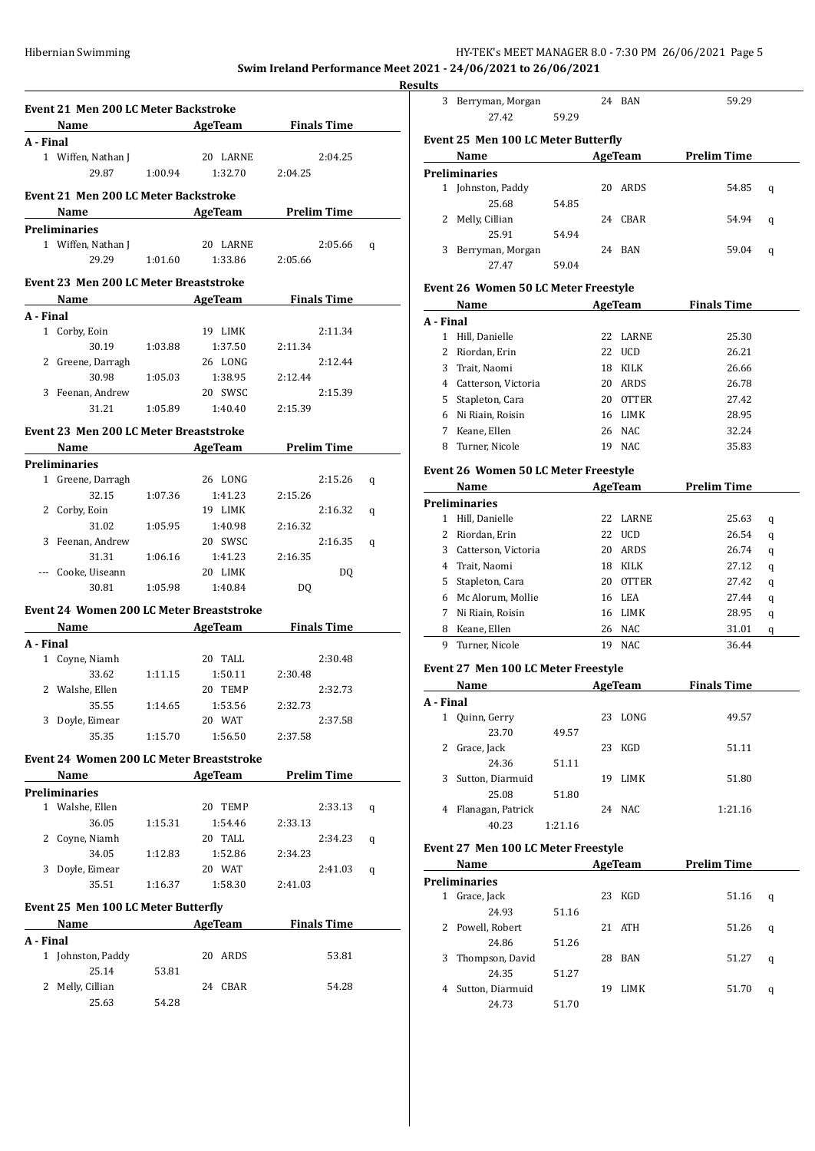## HY-TEK's MEET MANAGER 8.0 - 7:30 PM 26/06/2021 Page 5

**Swim Ireland Performance Meet 2021 - 24/06/2021 to 26/06/2021**

| Event 21 Men 200 LC Meter Backstroke            |         |                                           | <b>Example 2 Second Manual AgeTeam</b> Pinals Time |   |
|-------------------------------------------------|---------|-------------------------------------------|----------------------------------------------------|---|
| A - Final                                       |         |                                           |                                                    |   |
| 1 Wiffen, Nathan J                              |         |                                           | 2:04.25                                            |   |
|                                                 |         | Nathan J<br>29.87 1:00.94 1:32.70 2:04.25 |                                                    |   |
|                                                 |         |                                           |                                                    |   |
| Event 21 Men 200 LC Meter Backstroke            |         |                                           |                                                    |   |
|                                                 |         |                                           | <b>Example 21 Name 21 AgeTeam</b> Prelim Time      |   |
| <b>Preliminaries</b>                            |         |                                           |                                                    |   |
|                                                 |         |                                           | 1 Wiffen, Nathan J 20 LARNE 2:05.66 q              |   |
|                                                 |         | 29.29   1:01.60   1:33.86   2:05.66       |                                                    |   |
| Event 23 Men 200 LC Meter Breaststroke          |         |                                           |                                                    |   |
|                                                 |         |                                           | <b>Example 2 Second AgeTeam</b> Pinals Time        |   |
| A - Final                                       |         |                                           |                                                    |   |
| 1 Corby, Eoin                                   |         | 19 LIMK                                   | 2:11.34                                            |   |
| 30.19 1:03.88                                   |         | 1:37.50 2:11.34                           |                                                    |   |
| 2 Greene, Darragh                               |         | 26 LONG                                   | 2:12.44                                            |   |
|                                                 |         | 30.98   1:05.03   1:38.95   2:12.44       |                                                    |   |
| 3 Feenan, Andrew                                |         | 20 SWSC                                   | 2:15.39                                            |   |
| 31.21                                           |         | 1:05.89 1:40.40 2:15.39                   |                                                    |   |
| Event 23 Men 200 LC Meter Breaststroke          |         |                                           |                                                    |   |
|                                                 |         |                                           | <b>Example 2.1 Mame</b> AgeTeam Prelim Time        |   |
| <b>Preliminaries</b>                            |         |                                           |                                                    |   |
| 1 Greene, Darragh                               |         | 26 LONG                                   | 2:15.26                                            | q |
| $32.15$ $1:07.36$                               |         | 1:41.23 2:15.26                           |                                                    |   |
| 2 Corby, Eoin                                   |         | 19 LIMK                                   | 2:16.32                                            | q |
|                                                 |         | 31.02   1:05.95   1:40.98   2:16.32       |                                                    |   |
| 3 Feenan, Andrew                                |         | 20 SWSC                                   | 2:16.35                                            | q |
|                                                 |         | 31.31 1:06.16 1:41.23 2:16.35             |                                                    |   |
| --- Cooke, Uiseann                              |         | 20 LIMK                                   | DQ                                                 |   |
|                                                 |         | 30.81   1:05.98   1:40.84   DQ            |                                                    |   |
| Event 24 Women 200 LC Meter Breaststroke        |         |                                           |                                                    |   |
|                                                 |         |                                           | <b>Example 2 Solution AgeTeam</b> Pinals Time      |   |
| A - Final                                       |         |                                           |                                                    |   |
| 1 Coyne, Niamh                                  |         | 20 TALL                                   | 2:30.48                                            |   |
|                                                 |         | 33.62   1:11.15   1:50.11   2:30.48       |                                                    |   |
| 2 Walshe, Ellen                                 |         | 20 TEMP                                   | 2:32.73                                            |   |
| 35.55                                           | 1:14.65 | 1:53.56                                   | 2:32.73                                            |   |
| 3 Doyle, Eimear                                 |         | 20 WAT                                    | 2:37.58                                            |   |
| 35.35                                           | 1:15.70 | 1:56.50                                   | 2:37.58                                            |   |
|                                                 |         |                                           |                                                    |   |
| <b>Event 24 Women 200 LC Meter Breaststroke</b> |         |                                           |                                                    |   |
| Name                                            |         |                                           | AgeTeam Prelim Time                                |   |
| <b>Preliminaries</b>                            |         |                                           |                                                    |   |
| 1 Walshe, Ellen                                 |         | 20 TEMP                                   | 2:33.13                                            | q |
|                                                 |         | 1:54.46                                   | 2:33.13                                            |   |
| 36.05                                           | 1:15.31 |                                           |                                                    |   |
| 2 Coyne, Niamh                                  |         | 20 TALL                                   | 2:34.23                                            | q |
| 34.05                                           | 1:12.83 | 1:52.86                                   | 2:34.23                                            |   |
| 3 Doyle, Eimear                                 |         | 20 WAT                                    | 2:41.03                                            | q |
| 35.51                                           | 1:16.37 | 1:58.30                                   | 2:41.03                                            |   |
| Event 25 Men 100 LC Meter Butterfly             |         |                                           |                                                    |   |
| Name                                            |         | <b>AgeTeam</b>                            | <b>Finals Time</b>                                 |   |
| A - Final                                       |         |                                           |                                                    |   |
| 1 Johnston, Paddy                               |         | 20 ARDS                                   | 53.81                                              |   |
| 25.14                                           | 53.81   |                                           |                                                    |   |
| 2 Melly, Cillian                                |         | 24 CBAR                                   | 54.28                                              |   |

| 3         | Berryman, Morgan                                                                                                                                                                                                              |         | 24 BAN |                | 59.29              |   |
|-----------|-------------------------------------------------------------------------------------------------------------------------------------------------------------------------------------------------------------------------------|---------|--------|----------------|--------------------|---|
|           | 27.42                                                                                                                                                                                                                         | 59.29   |        |                |                    |   |
|           | Event 25 Men 100 LC Meter Butterfly                                                                                                                                                                                           |         |        |                |                    |   |
|           | Name                                                                                                                                                                                                                          |         |        | AgeTeam        | <b>Prelim Time</b> |   |
|           | <b>Preliminaries</b>                                                                                                                                                                                                          |         |        |                |                    |   |
|           | 1 Johnston, Paddy                                                                                                                                                                                                             |         |        | 20 ARDS        | 54.85              | q |
|           | 25.68                                                                                                                                                                                                                         | 54.85   |        |                |                    |   |
|           | 2 Melly, Cillian                                                                                                                                                                                                              |         |        | 24 CBAR        | 54.94              | q |
|           | 25.91                                                                                                                                                                                                                         | 54.94   |        |                |                    |   |
| 3         | Berryman, Morgan                                                                                                                                                                                                              |         |        | 24 BAN         | 59.04              | q |
|           | 27.47                                                                                                                                                                                                                         | 59.04   |        |                |                    |   |
|           | Event 26 Women 50 LC Meter Freestyle                                                                                                                                                                                          |         |        |                |                    |   |
|           | Name and the same of the same of the same of the same of the same of the same of the same of the same of the same of the same of the same of the same of the same of the same of the same of the same of the same of the same |         |        | AgeTeam        | <b>Finals Time</b> |   |
| A - Final |                                                                                                                                                                                                                               |         |        |                |                    |   |
|           | 1 Hill, Danielle                                                                                                                                                                                                              |         |        | 22 LARNE       | 25.30              |   |
|           | 2 Riordan, Erin                                                                                                                                                                                                               |         |        | 22 UCD         | 26.21              |   |
|           | 3 Trait, Naomi                                                                                                                                                                                                                |         |        | 18 KILK        | 26.66              |   |
|           | 4 Catterson, Victoria                                                                                                                                                                                                         |         |        | 20 ARDS        | 26.78              |   |
|           | 5 Stapleton, Cara                                                                                                                                                                                                             |         |        | 20 OTTER       | 27.42              |   |
|           | 6 Ni Riain, Roisin                                                                                                                                                                                                            |         |        | 16 LIMK        | 28.95              |   |
|           | 7 Keane, Ellen                                                                                                                                                                                                                |         |        | 26 NAC         | 32.24              |   |
|           | 8 Turner, Nicole                                                                                                                                                                                                              |         |        | 19 NAC         | 35.83              |   |
|           | Event 26 Women 50 LC Meter Freestyle                                                                                                                                                                                          |         |        |                |                    |   |
|           | Name and the same state of the state of the state of the state of the state of the state of the state of the state of the state of the state of the state of the state of the state of the state of the state of the state of |         |        | AgeTeam        | <b>Prelim Time</b> |   |
|           |                                                                                                                                                                                                                               |         |        |                |                    |   |
|           | <b>Preliminaries</b>                                                                                                                                                                                                          |         |        | 22 LARNE       |                    |   |
|           | 1 Hill, Danielle                                                                                                                                                                                                              |         |        | 22 UCD         | 25.63              | q |
|           | 2 Riordan, Erin                                                                                                                                                                                                               |         |        | 20 ARDS        | 26.54              | q |
|           | 3 Catterson, Victoria                                                                                                                                                                                                         |         |        |                | 26.74              | q |
|           | 4 Trait, Naomi                                                                                                                                                                                                                |         |        | 18 KILK        | 27.12              | q |
|           | 5 Stapleton, Cara                                                                                                                                                                                                             |         |        | 20 OTTER       | 27.42              | q |
|           | 6 Mc Alorum, Mollie                                                                                                                                                                                                           |         |        | 16 LEA         | 27.44              | q |
|           | 7 Ni Riain, Roisin                                                                                                                                                                                                            |         |        | 16 LIMK        | 28.95              | q |
|           | 8 Keane, Ellen                                                                                                                                                                                                                |         |        | 26 NAC         | 31.01              | q |
|           | 9 Turner, Nicole                                                                                                                                                                                                              |         |        | 19 NAC         | 36.44              |   |
|           |                                                                                                                                                                                                                               |         |        |                |                    |   |
|           | Event 27 Men 100 LC Meter Freestyle                                                                                                                                                                                           |         |        |                |                    |   |
|           | Name                                                                                                                                                                                                                          |         |        | AgeTeam        | <b>Finals Time</b> |   |
|           |                                                                                                                                                                                                                               |         |        |                |                    |   |
|           | 1 Quinn, Gerry                                                                                                                                                                                                                |         |        | 23 LONG        | 49.57              |   |
|           | 23.70                                                                                                                                                                                                                         | 49.57   |        |                |                    |   |
|           | 2 Grace, Jack                                                                                                                                                                                                                 |         |        | 23 KGD         | 51.11              |   |
|           | 24.36                                                                                                                                                                                                                         | 51.11   |        |                |                    |   |
|           | 3 Sutton, Diarmuid                                                                                                                                                                                                            |         |        | 19 LIMK        | 51.80              |   |
|           | 25.08                                                                                                                                                                                                                         | 51.80   |        |                |                    |   |
|           | 4 Flanagan, Patrick                                                                                                                                                                                                           |         |        | 24 NAC         | 1:21.16            |   |
|           | 40.23                                                                                                                                                                                                                         | 1:21.16 |        |                |                    |   |
| A - Final | Event 27 Men 100 LC Meter Freestyle                                                                                                                                                                                           |         |        |                |                    |   |
|           | Name                                                                                                                                                                                                                          |         |        |                |                    |   |
|           | <b>Preliminaries</b>                                                                                                                                                                                                          |         |        | <b>AgeTeam</b> | <b>Prelim Time</b> |   |
|           | 1 Grace, Jack                                                                                                                                                                                                                 |         | 23     | KGD            | 51.16              |   |
|           | 24.93                                                                                                                                                                                                                         | 51.16   |        |                |                    | q |
|           |                                                                                                                                                                                                                               |         |        | 21 ATH         | 51.26              |   |
|           | 2 Powell, Robert<br>24.86                                                                                                                                                                                                     |         |        |                |                    | q |
|           |                                                                                                                                                                                                                               | 51.26   |        | 28 BAN         |                    |   |
|           | 3 Thompson, David                                                                                                                                                                                                             |         |        |                | 51.27              | q |
|           | 24.35<br>4 Sutton, Diarmuid                                                                                                                                                                                                   | 51.27   |        | 19 LIMK        | 51.70              | q |